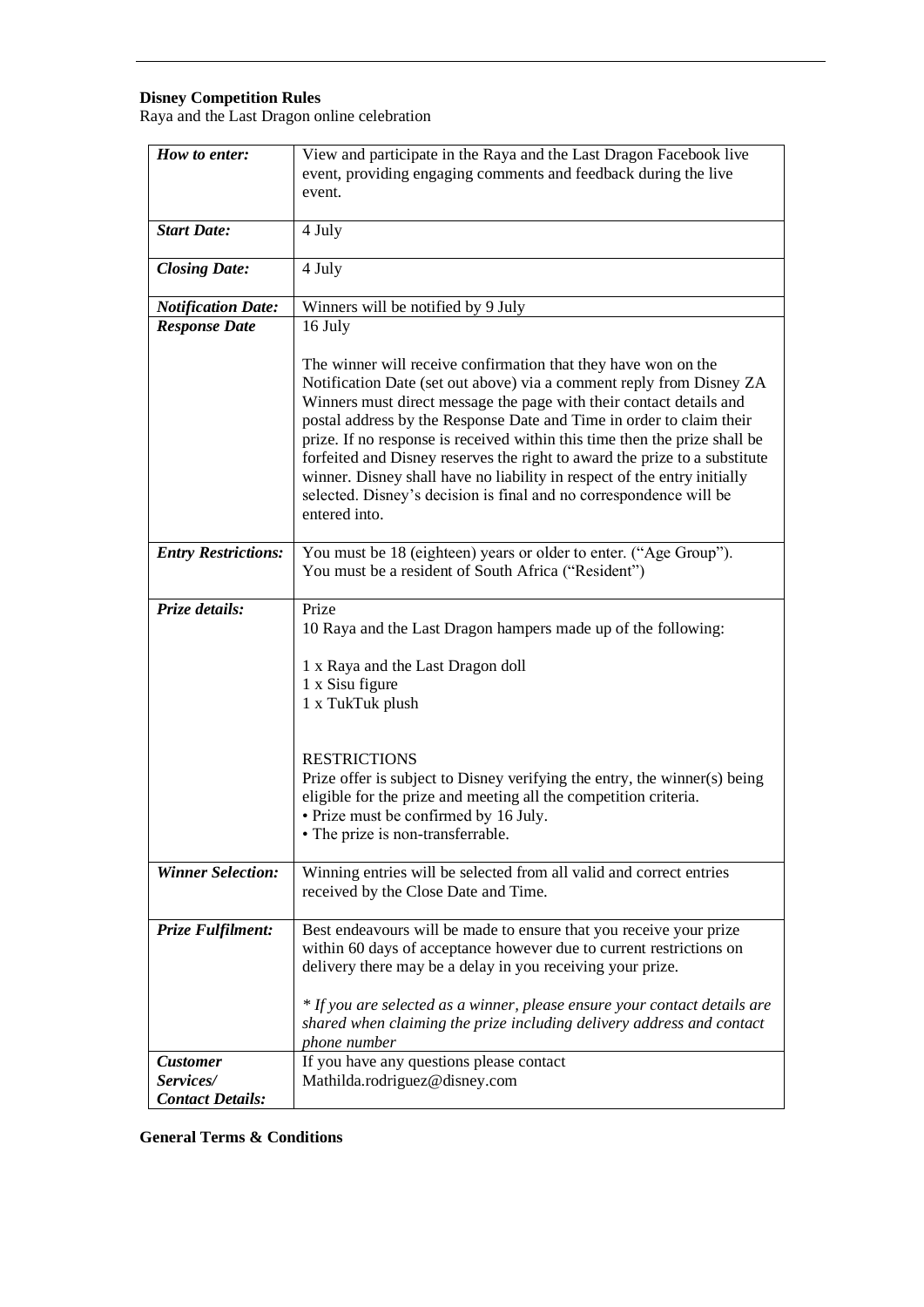## **Disney Competition Rules**

Raya and the Last Dragon online celebration

| How to enter:              | View and participate in the Raya and the Last Dragon Facebook live<br>event, providing engaging comments and feedback during the live<br>event.                                                                                                                                                                                                                                                                                                                                                                                                                                                                      |
|----------------------------|----------------------------------------------------------------------------------------------------------------------------------------------------------------------------------------------------------------------------------------------------------------------------------------------------------------------------------------------------------------------------------------------------------------------------------------------------------------------------------------------------------------------------------------------------------------------------------------------------------------------|
|                            |                                                                                                                                                                                                                                                                                                                                                                                                                                                                                                                                                                                                                      |
| <b>Start Date:</b>         | 4 July                                                                                                                                                                                                                                                                                                                                                                                                                                                                                                                                                                                                               |
| <b>Closing Date:</b>       | 4 July                                                                                                                                                                                                                                                                                                                                                                                                                                                                                                                                                                                                               |
| <b>Notification Date:</b>  | Winners will be notified by 9 July                                                                                                                                                                                                                                                                                                                                                                                                                                                                                                                                                                                   |
| <b>Response Date</b>       | 16 July                                                                                                                                                                                                                                                                                                                                                                                                                                                                                                                                                                                                              |
|                            | The winner will receive confirmation that they have won on the<br>Notification Date (set out above) via a comment reply from Disney ZA<br>Winners must direct message the page with their contact details and<br>postal address by the Response Date and Time in order to claim their<br>prize. If no response is received within this time then the prize shall be<br>forfeited and Disney reserves the right to award the prize to a substitute<br>winner. Disney shall have no liability in respect of the entry initially<br>selected. Disney's decision is final and no correspondence will be<br>entered into. |
| <b>Entry Restrictions:</b> | You must be 18 (eighteen) years or older to enter. ("Age Group").<br>You must be a resident of South Africa ("Resident")                                                                                                                                                                                                                                                                                                                                                                                                                                                                                             |
| Prize details:             | Prize<br>10 Raya and the Last Dragon hampers made up of the following:<br>1 x Raya and the Last Dragon doll<br>1 x Sisu figure<br>1 x TukTuk plush                                                                                                                                                                                                                                                                                                                                                                                                                                                                   |
|                            | <b>RESTRICTIONS</b><br>Prize offer is subject to Disney verifying the entry, the winner(s) being<br>eligible for the prize and meeting all the competition criteria.<br>• Prize must be confirmed by 16 July.<br>• The prize is non-transferrable.                                                                                                                                                                                                                                                                                                                                                                   |
| <b>Winner Selection:</b>   | Winning entries will be selected from all valid and correct entries<br>received by the Close Date and Time.                                                                                                                                                                                                                                                                                                                                                                                                                                                                                                          |
| Prize Fulfilment:          | Best endeavours will be made to ensure that you receive your prize<br>within 60 days of acceptance however due to current restrictions on<br>delivery there may be a delay in you receiving your prize.<br>* If you are selected as a winner, please ensure your contact details are<br>shared when claiming the prize including delivery address and contact<br>phone number                                                                                                                                                                                                                                        |
| <b>Customer</b>            | If you have any questions please contact                                                                                                                                                                                                                                                                                                                                                                                                                                                                                                                                                                             |
| Services/                  | Mathilda.rodriguez@disney.com                                                                                                                                                                                                                                                                                                                                                                                                                                                                                                                                                                                        |
| <b>Contact Details:</b>    |                                                                                                                                                                                                                                                                                                                                                                                                                                                                                                                                                                                                                      |

**General Terms & Conditions**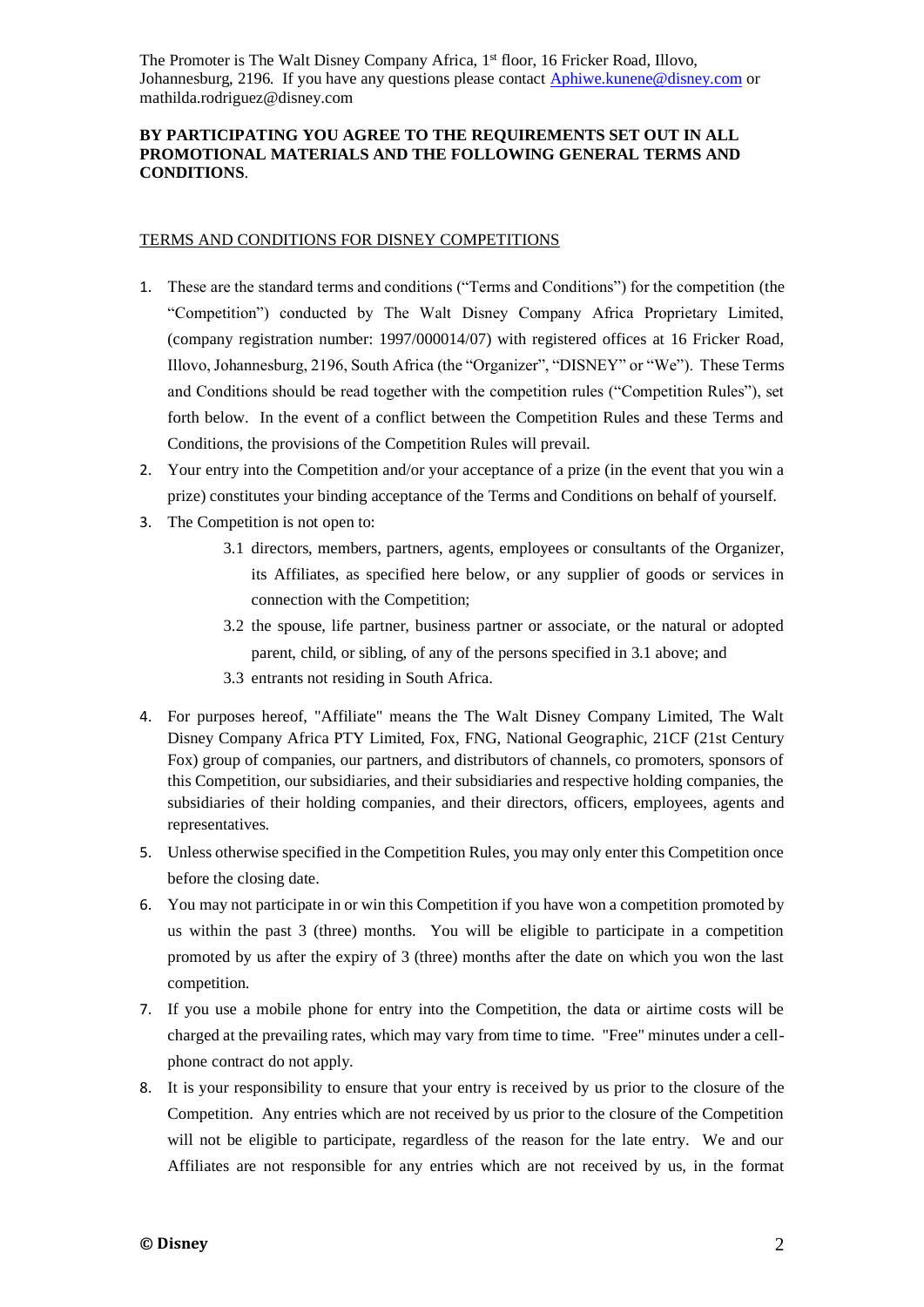## **BY PARTICIPATING YOU AGREE TO THE REQUIREMENTS SET OUT IN ALL PROMOTIONAL MATERIALS AND THE FOLLOWING GENERAL TERMS AND CONDITIONS**.

## TERMS AND CONDITIONS FOR DISNEY COMPETITIONS

- 1. These are the standard terms and conditions ("Terms and Conditions") for the competition (the "Competition") conducted by The Walt Disney Company Africa Proprietary Limited, (company registration number: 1997/000014/07) with registered offices at 16 Fricker Road, Illovo, Johannesburg, 2196, South Africa (the "Organizer", "DISNEY" or "We"). These Terms and Conditions should be read together with the competition rules ("Competition Rules"), set forth below. In the event of a conflict between the Competition Rules and these Terms and Conditions, the provisions of the Competition Rules will prevail.
- 2. Your entry into the Competition and/or your acceptance of a prize (in the event that you win a prize) constitutes your binding acceptance of the Terms and Conditions on behalf of yourself.
- 3. The Competition is not open to:
	- 3.1 directors, members, partners, agents, employees or consultants of the Organizer, its Affiliates, as specified here below, or any supplier of goods or services in connection with the Competition;
	- 3.2 the spouse, life partner, business partner or associate, or the natural or adopted parent, child, or sibling, of any of the persons specified in 3.1 above; and
	- 3.3 entrants not residing in South Africa.
- 4. For purposes hereof, "Affiliate" means the The Walt Disney Company Limited, The Walt Disney Company Africa PTY Limited, Fox, FNG, National Geographic, 21CF (21st Century Fox) group of companies, our partners, and distributors of channels, co promoters, sponsors of this Competition, our subsidiaries, and their subsidiaries and respective holding companies, the subsidiaries of their holding companies, and their directors, officers, employees, agents and representatives.
- 5. Unless otherwise specified in the Competition Rules, you may only enter this Competition once before the closing date.
- 6. You may not participate in or win this Competition if you have won a competition promoted by us within the past 3 (three) months. You will be eligible to participate in a competition promoted by us after the expiry of 3 (three) months after the date on which you won the last competition.
- 7. If you use a mobile phone for entry into the Competition, the data or airtime costs will be charged at the prevailing rates, which may vary from time to time. "Free" minutes under a cellphone contract do not apply.
- 8. It is your responsibility to ensure that your entry is received by us prior to the closure of the Competition. Any entries which are not received by us prior to the closure of the Competition will not be eligible to participate, regardless of the reason for the late entry. We and our Affiliates are not responsible for any entries which are not received by us, in the format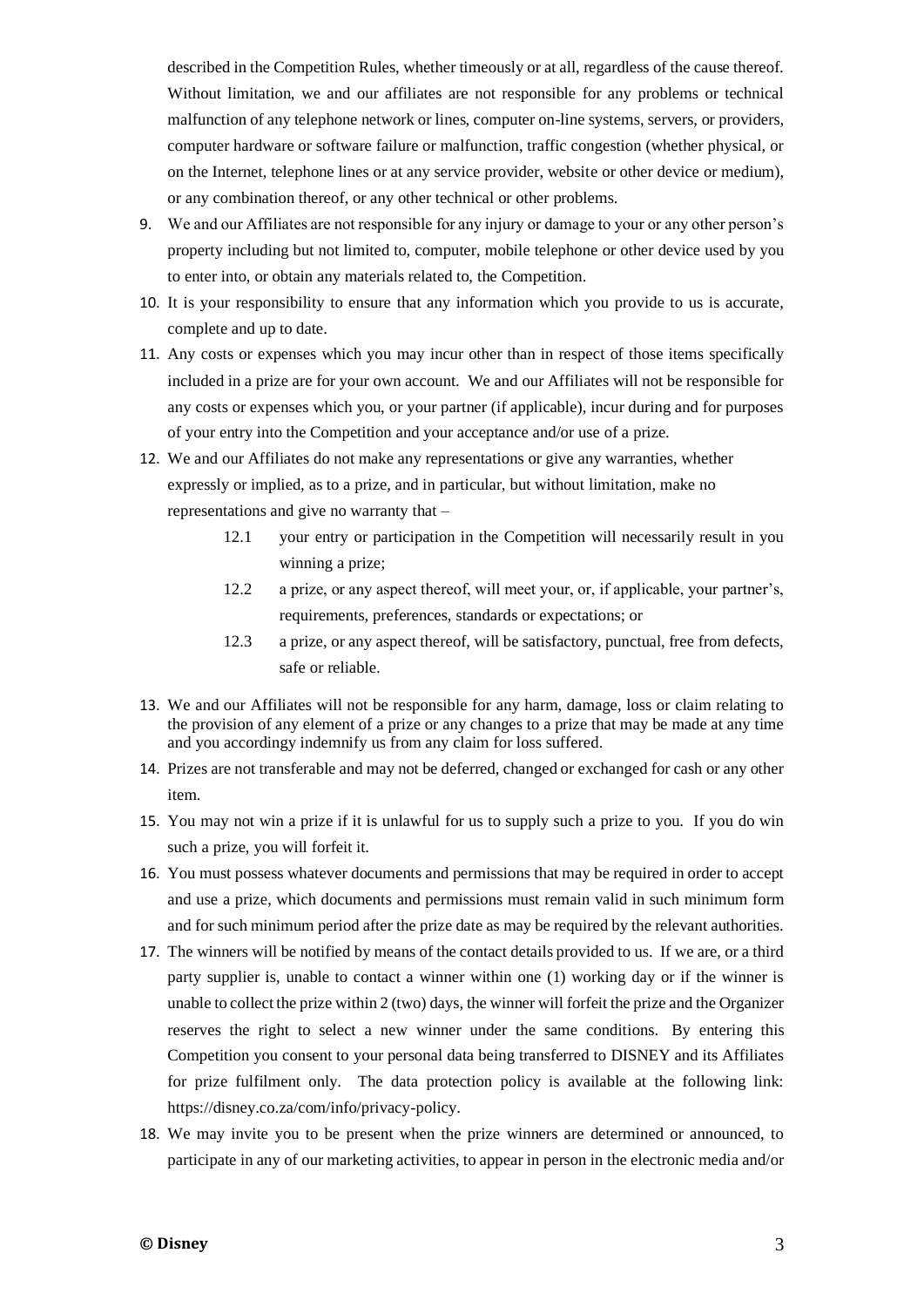described in the Competition Rules, whether timeously or at all, regardless of the cause thereof. Without limitation, we and our affiliates are not responsible for any problems or technical malfunction of any telephone network or lines, computer on-line systems, servers, or providers, computer hardware or software failure or malfunction, traffic congestion (whether physical, or on the Internet, telephone lines or at any service provider, website or other device or medium), or any combination thereof, or any other technical or other problems.

- 9. We and our Affiliates are not responsible for any injury or damage to your or any other person's property including but not limited to, computer, mobile telephone or other device used by you to enter into, or obtain any materials related to, the Competition.
- 10. It is your responsibility to ensure that any information which you provide to us is accurate, complete and up to date.
- 11. Any costs or expenses which you may incur other than in respect of those items specifically included in a prize are for your own account. We and our Affiliates will not be responsible for any costs or expenses which you, or your partner (if applicable), incur during and for purposes of your entry into the Competition and your acceptance and/or use of a prize.
- 12. We and our Affiliates do not make any representations or give any warranties, whether expressly or implied, as to a prize, and in particular, but without limitation, make no representations and give no warranty that –
	- 12.1 your entry or participation in the Competition will necessarily result in you winning a prize;
	- 12.2 a prize, or any aspect thereof, will meet your, or, if applicable, your partner's, requirements, preferences, standards or expectations; or
	- 12.3 a prize, or any aspect thereof, will be satisfactory, punctual, free from defects, safe or reliable.
- 13. We and our Affiliates will not be responsible for any harm, damage, loss or claim relating to the provision of any element of a prize or any changes to a prize that may be made at any time and you accordingy indemnify us from any claim for loss suffered.
- 14. Prizes are not transferable and may not be deferred, changed or exchanged for cash or any other item.
- 15. You may not win a prize if it is unlawful for us to supply such a prize to you. If you do win such a prize, you will forfeit it.
- 16. You must possess whatever documents and permissions that may be required in order to accept and use a prize, which documents and permissions must remain valid in such minimum form and for such minimum period after the prize date as may be required by the relevant authorities.
- 17. The winners will be notified by means of the contact details provided to us. If we are, or a third party supplier is, unable to contact a winner within one (1) working day or if the winner is unable to collect the prize within 2 (two) days, the winner will forfeit the prize and the Organizer reserves the right to select a new winner under the same conditions. By entering this Competition you consent to your personal data being transferred to DISNEY and its Affiliates for prize fulfilment only. The data protection policy is available at the following link: [https://disney.co.za/com/info/privacy-policy.](https://disney.co.za/com/info/privacy-policy)
- 18. We may invite you to be present when the prize winners are determined or announced, to participate in any of our marketing activities, to appear in person in the electronic media and/or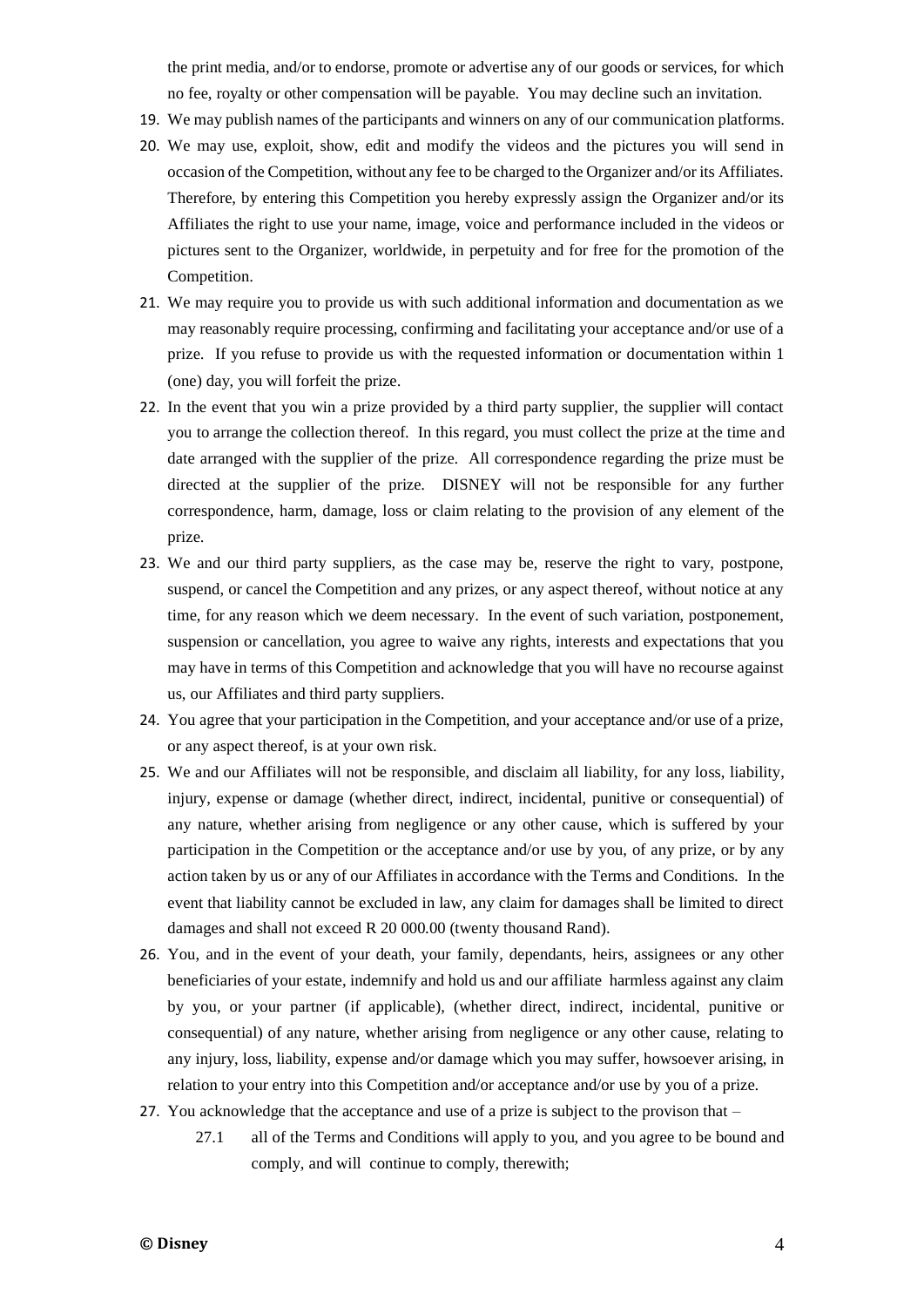the print media, and/or to endorse, promote or advertise any of our goods or services, for which no fee, royalty or other compensation will be payable. You may decline such an invitation.

- 19. We may publish names of the participants and winners on any of our communication platforms.
- 20. We may use, exploit, show, edit and modify the videos and the pictures you will send in occasion of the Competition, without any fee to be charged to the Organizer and/or its Affiliates. Therefore, by entering this Competition you hereby expressly assign the Organizer and/or its Affiliates the right to use your name, image, voice and performance included in the videos or pictures sent to the Organizer, worldwide, in perpetuity and for free for the promotion of the Competition.
- 21. We may require you to provide us with such additional information and documentation as we may reasonably require processing, confirming and facilitating your acceptance and/or use of a prize. If you refuse to provide us with the requested information or documentation within 1 (one) day, you will forfeit the prize.
- 22. In the event that you win a prize provided by a third party supplier, the supplier will contact you to arrange the collection thereof. In this regard, you must collect the prize at the time and date arranged with the supplier of the prize. All correspondence regarding the prize must be directed at the supplier of the prize. DISNEY will not be responsible for any further correspondence, harm, damage, loss or claim relating to the provision of any element of the prize.
- 23. We and our third party suppliers, as the case may be, reserve the right to vary, postpone, suspend, or cancel the Competition and any prizes, or any aspect thereof, without notice at any time, for any reason which we deem necessary. In the event of such variation, postponement, suspension or cancellation, you agree to waive any rights, interests and expectations that you may have in terms of this Competition and acknowledge that you will have no recourse against us, our Affiliates and third party suppliers.
- 24. You agree that your participation in the Competition, and your acceptance and/or use of a prize, or any aspect thereof, is at your own risk.
- 25. We and our Affiliates will not be responsible, and disclaim all liability, for any loss, liability, injury, expense or damage (whether direct, indirect, incidental, punitive or consequential) of any nature, whether arising from negligence or any other cause, which is suffered by your participation in the Competition or the acceptance and/or use by you, of any prize, or by any action taken by us or any of our Affiliates in accordance with the Terms and Conditions. In the event that liability cannot be excluded in law, any claim for damages shall be limited to direct damages and shall not exceed R 20 000.00 (twenty thousand Rand).
- 26. You, and in the event of your death, your family, dependants, heirs, assignees or any other beneficiaries of your estate, indemnify and hold us and our affiliate harmless against any claim by you, or your partner (if applicable), (whether direct, indirect, incidental, punitive or consequential) of any nature, whether arising from negligence or any other cause, relating to any injury, loss, liability, expense and/or damage which you may suffer, howsoever arising, in relation to your entry into this Competition and/or acceptance and/or use by you of a prize.
- 27. You acknowledge that the acceptance and use of a prize is subject to the provison that
	- 27.1 all of the Terms and Conditions will apply to you, and you agree to be bound and comply, and will continue to comply, therewith;